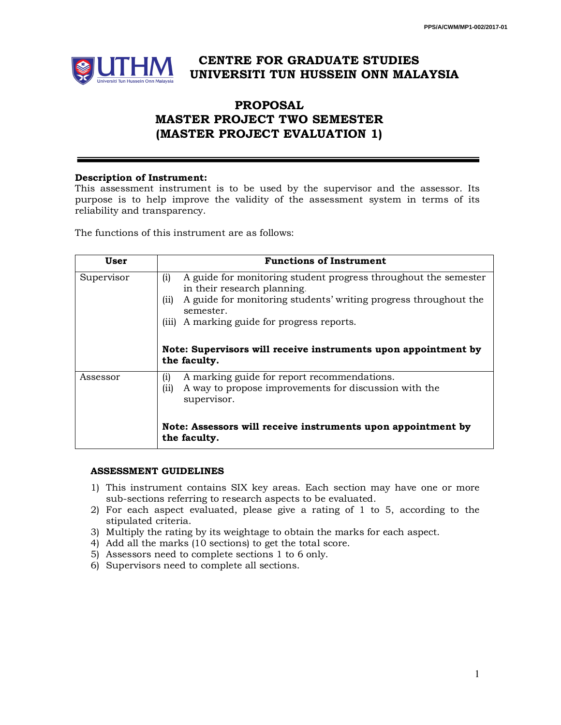

# **CENTRE FOR GRADUATE STUDIES UNIVERSITI TUN HUSSEIN ONN MALAYSIA**

## **PROPOSAL MASTER PROJECT TWO SEMESTER (MASTER PROJECT EVALUATION 1)**

#### **Description of Instrument:**

This assessment instrument is to be used by the supervisor and the assessor. Its purpose is to help improve the validity of the assessment system in terms of its reliability and transparency.

The functions of this instrument are as follows:

| User       | <b>Functions of Instrument</b>                                                                                                     |  |  |  |  |  |  |
|------------|------------------------------------------------------------------------------------------------------------------------------------|--|--|--|--|--|--|
| Supervisor | (i)<br>A guide for monitoring student progress throughout the semester<br>in their research planning.                              |  |  |  |  |  |  |
|            | (ii)<br>A guide for monitoring students' writing progress throughout the<br>semester.                                              |  |  |  |  |  |  |
|            | (iii)<br>A marking guide for progress reports.                                                                                     |  |  |  |  |  |  |
|            | Note: Supervisors will receive instruments upon appointment by<br>the faculty.                                                     |  |  |  |  |  |  |
| Assessor   | A marking guide for report recommendations.<br>(i)<br>A way to propose improvements for discussion with the<br>(ii)<br>supervisor. |  |  |  |  |  |  |
|            | Note: Assessors will receive instruments upon appointment by<br>the faculty.                                                       |  |  |  |  |  |  |

#### **ASSESSMENT GUIDELINES**

- 1) This instrument contains SIX key areas. Each section may have one or more sub-sections referring to research aspects to be evaluated.
- 2) For each aspect evaluated, please give a rating of 1 to 5, according to the stipulated criteria.
- 3) Multiply the rating by its weightage to obtain the marks for each aspect.
- 4) Add all the marks (10 sections) to get the total score.
- 5) Assessors need to complete sections 1 to 6 only.
- 6) Supervisors need to complete all sections.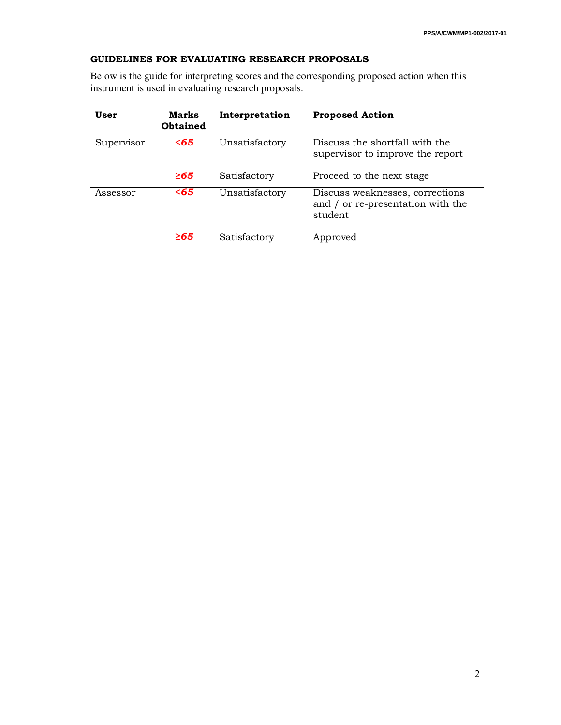### **GUIDELINES FOR EVALUATING RESEARCH PROPOSALS**

Below is the guide for interpreting scores and the corresponding proposed action when this instrument is used in evaluating research proposals.

| User       | <b>Marks</b><br><b>Obtained</b> | Interpretation | <b>Proposed Action</b>                                                          |
|------------|---------------------------------|----------------|---------------------------------------------------------------------------------|
| Supervisor | $65$                            | Unsatisfactory | Discuss the shortfall with the<br>supervisor to improve the report              |
|            | $\geq 65$                       | Satisfactory   | Proceed to the next stage                                                       |
| Assessor   | $65$                            | Unsatisfactory | Discuss weaknesses, corrections<br>and / or re-presentation with the<br>student |
|            | ≥65                             | Satisfactory   | Approved                                                                        |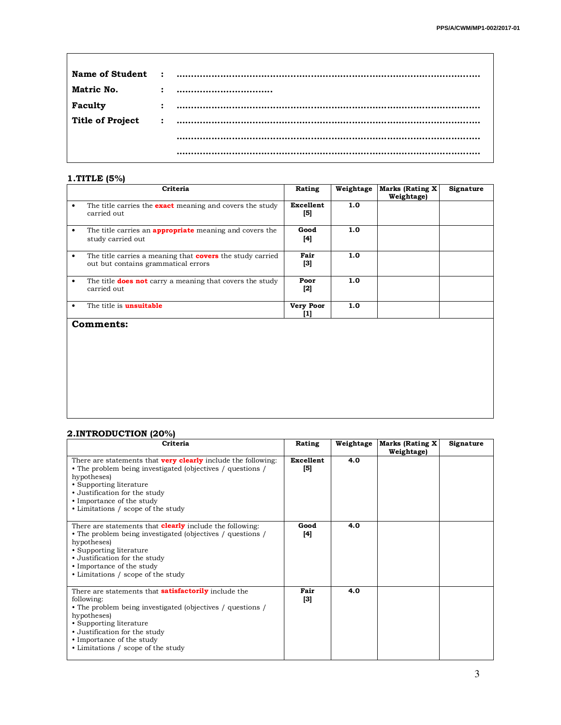| Matric No.              | $\ddot{\cdot}$ |  |
|-------------------------|----------------|--|
| Faculty                 |                |  |
| <b>Title of Project</b> |                |  |
|                         |                |  |
|                         |                |  |

#### **1.TITLE (5%)**

 $\overline{\phantom{a}}$ 

| Criteria                                                                                                | Rating                  | Weightage | Marks (Rating X)<br>Weightage) | Signature |
|---------------------------------------------------------------------------------------------------------|-------------------------|-----------|--------------------------------|-----------|
| The title carries the <b>exact</b> meaning and covers the study<br>carried out                          | Excellent<br>[5]        | 1.0       |                                |           |
| The title carries an <b>appropriate</b> meaning and covers the<br>study carried out                     | Good<br>[4]             | 1.0       |                                |           |
| The title carries a meaning that <b>covers</b> the study carried<br>out but contains grammatical errors | Fair<br>[3]             | 1.0       |                                |           |
| The title <b>does not</b> carry a meaning that covers the study<br>carried out                          | Poor<br>[2]             | 1.0       |                                |           |
| The title is <b>unsuitable</b>                                                                          | <b>Very Poor</b><br>[1] | 1.0       |                                |           |
| Comments:                                                                                               |                         |           |                                |           |

#### **2.INTRODUCTION (20%)**

| Criteria                                                                                                                                                                                                                                                                              | Rating           | Weightage | <b>Marks (Rating X</b><br>Weightage) | Signature |
|---------------------------------------------------------------------------------------------------------------------------------------------------------------------------------------------------------------------------------------------------------------------------------------|------------------|-----------|--------------------------------------|-----------|
| There are statements that <b>very clearly</b> include the following:<br>• The problem being investigated (objectives / questions /<br>hypotheses)<br>• Supporting literature<br>• Justification for the study<br>• Importance of the study<br>• Limitations / scope of the study      | Excellent<br>[5] | 4.0       |                                      |           |
| There are statements that <b>clearly</b> include the following:<br>• The problem being investigated (objectives / questions /<br>hypotheses)<br>• Supporting literature<br>• Justification for the study<br>• Importance of the study<br>• Limitations / scope of the study           | Good<br>[4]      | 4.0       |                                      |           |
| There are statements that <b>satisfactorily</b> include the<br>following:<br>• The problem being investigated (objectives / questions /<br>hypotheses)<br>• Supporting literature<br>• Justification for the study<br>• Importance of the study<br>• Limitations / scope of the study | Fair<br>$^{[3]}$ | 4.0       |                                      |           |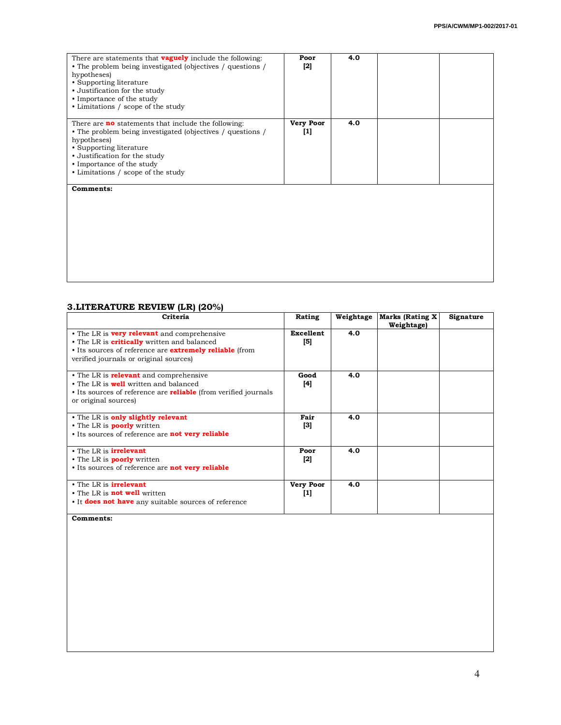| There are statements that <b>vaguely</b> include the following:<br>• The problem being investigated (objectives / questions /<br>hypotheses)<br>• Supporting literature<br>• Justification for the study<br>• Importance of the study<br>• Limitations / scope of the study | Poor<br>$[2]$             | 4.0 |  |
|-----------------------------------------------------------------------------------------------------------------------------------------------------------------------------------------------------------------------------------------------------------------------------|---------------------------|-----|--|
| There are <b>no</b> statements that include the following:<br>• The problem being investigated (objectives / questions /<br>hypotheses)<br>• Supporting literature<br>• Justification for the study<br>• Importance of the study<br>• Limitations / scope of the study      | <b>Very Poor</b><br>$[1]$ | 4.0 |  |
| Comments:                                                                                                                                                                                                                                                                   |                           |     |  |

## **3.LITERATURE REVIEW (LR) (20%)**

| Criteria                                                                                                                                                                                                             | Rating                   | Weightage | <b>Marks (Rating X</b><br>Weightage) | Signature |
|----------------------------------------------------------------------------------------------------------------------------------------------------------------------------------------------------------------------|--------------------------|-----------|--------------------------------------|-----------|
| • The LR is <b>very relevant</b> and comprehensive<br>• The LR is <b>critically</b> written and balanced<br>• Its sources of reference are <b>extremely reliable</b> (from<br>verified journals or original sources) | Excellent<br>[5]         | 4.0       |                                      |           |
| • The LR is <b>relevant</b> and comprehensive<br>$\bullet$ The LR is <b>well</b> written and balanced<br>• Its sources of reference are <b>reliable</b> (from verified journals<br>or original sources)              | Good<br>[4]              | 4.0       |                                      |           |
| • The LR is only slightly relevant<br>• The LR is <b>poorly</b> written<br>• Its sources of reference are <b>not very reliable</b>                                                                                   | Fair<br>$\left[3\right]$ | 4.0       |                                      |           |
| • The LR is <b>irrelevant</b><br>• The LR is <b>poorly</b> written<br>• Its sources of reference are <b>not very reliable</b>                                                                                        | Poor<br>$[2]$            | 4.0       |                                      |           |
| • The LR is <b>irrelevant</b><br>• The LR is <b>not well</b> written<br>• It <b>does not have</b> any suitable sources of reference                                                                                  | <b>Very Poor</b><br>[1]  | 4.0       |                                      |           |

**Comments:**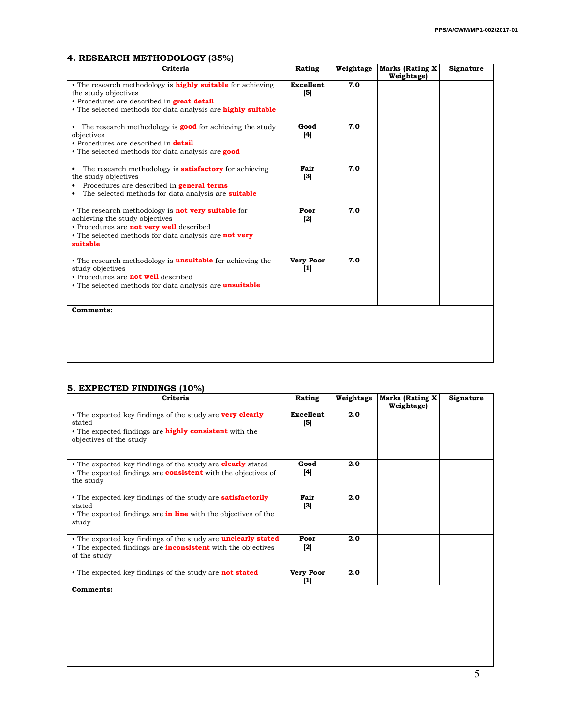### **4. RESEARCH METHODOLOGY (35%)**

| Criteria                                                                                                                                                                                                                 | Rating                             | Weightage | <b>Marks (Rating X</b><br>Weightage) | Signature |
|--------------------------------------------------------------------------------------------------------------------------------------------------------------------------------------------------------------------------|------------------------------------|-----------|--------------------------------------|-----------|
| • The research methodology is <b>highly suitable</b> for achieving<br>the study objectives<br>• Procedures are described in <b>great detail</b><br>• The selected methods for data analysis are highly suitable          | <b>Excellent</b><br>$\mathbf{[5]}$ | 7.0       |                                      |           |
| • The research methodology is <b>good</b> for achieving the study<br>objectives<br>• Procedures are described in <b>detail</b><br>• The selected methods for data analysis are good                                      | Good<br>[4]                        | 7.0       |                                      |           |
| • The research methodology is <b>satisfactory</b> for achieving<br>the study objectives<br>• Procedures are described in <b>general terms</b><br>The selected methods for data analysis are <b>suitable</b><br>$\bullet$ | Fair<br>[3]                        | 7.0       |                                      |           |
| • The research methodology is <b>not very suitable</b> for<br>achieving the study objectives<br>• Procedures are <b>not very well</b> described<br>• The selected methods for data analysis are not very<br>suitable     | Poor<br>$[2]$                      | 7.0       |                                      |           |
| • The research methodology is <b>unsuitable</b> for achieving the<br>study objectives<br>• Procedures are <b>not well</b> described<br>• The selected methods for data analysis are <b>unsuitable</b>                    | <b>Very Poor</b><br>$[1]$          | 7.0       |                                      |           |
| <b>Comments:</b>                                                                                                                                                                                                         |                                    |           |                                      |           |

## **5. EXPECTED FINDINGS (10%)**

| Criteria                                                                                                                                                               | Rating                        | Weightage | <b>Marks (Rating X</b><br>Weightage) | Signature |
|------------------------------------------------------------------------------------------------------------------------------------------------------------------------|-------------------------------|-----------|--------------------------------------|-----------|
| • The expected key findings of the study are <b>very clearly</b><br>stated<br>• The expected findings are <b>highly consistent</b> with the<br>objectives of the study | Excellent<br>$\left[5\right]$ | 2.0       |                                      |           |
| • The expected key findings of the study are <b>clearly</b> stated<br>• The expected findings are <b>consistent</b> with the objectives of<br>the study                | Good<br>[4]                   | 2.0       |                                      |           |
| • The expected key findings of the study are <b>satisfactorily</b><br>stated<br>• The expected findings are <b>in line</b> with the objectives of the<br>study         | Fair<br>$^{[3]}$              | 2.0       |                                      |           |
| • The expected key findings of the study are <b>unclearly stated</b><br>• The expected findings are <b>inconsistent</b> with the objectives<br>of the study            | Poor<br>$[2]$                 | 2.0       |                                      |           |
| • The expected key findings of the study are <b>not stated</b>                                                                                                         | <b>Very Poor</b><br>[1]       | 2.0       |                                      |           |
| <b>Comments:</b>                                                                                                                                                       |                               |           |                                      |           |